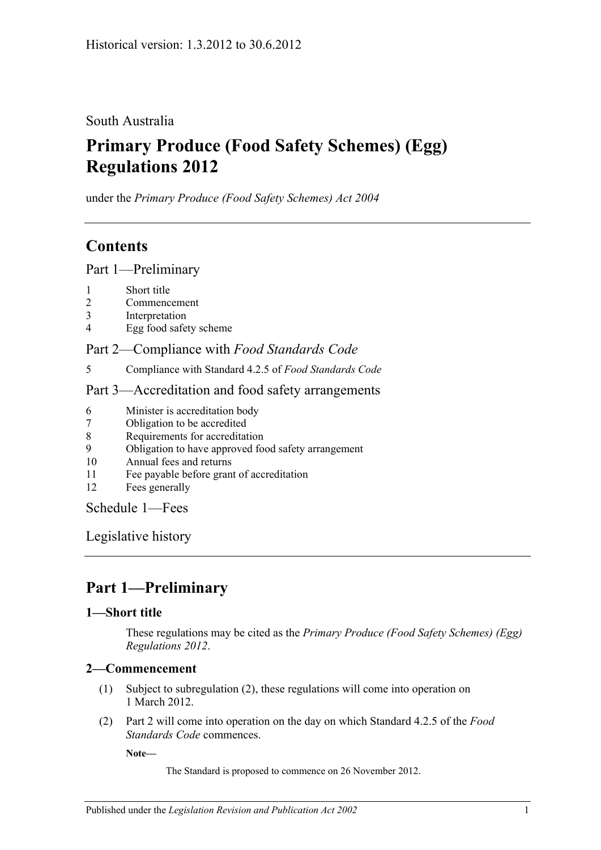### South Australia

# **Primary Produce (Food Safety Schemes) (Egg) Regulations 2012**

under the *Primary Produce (Food Safety Schemes) Act 2004*

### **Contents**

Part [1—Preliminary](#page-0-0)

- 1 [Short title](#page-0-1)
- 2 [Commencement](#page-0-2)
- 3 [Interpretation](#page-1-0)
- 4 [Egg food safety scheme](#page-1-1)

### Part 2—Compliance with *[Food Standards Code](#page-1-2)*

5 [Compliance with Standard](#page-1-3) 4.2.5 of *Food Standards Code*

#### Part [3—Accreditation and food safety arrangements](#page-1-4)

- 6 [Minister is accreditation body](#page-1-5)
- 7 [Obligation to be accredited](#page-2-0)
- 8 [Requirements for accreditation](#page-2-1)
- 9 [Obligation to have approved food safety arrangement](#page-2-2)
- 10 [Annual fees and returns](#page-2-3)
- 11 [Fee payable before grant of accreditation](#page-2-4)
- 12 [Fees generally](#page-2-5)

[Schedule](#page-3-0) 1—Fees

[Legislative history](#page-4-0)

# <span id="page-0-0"></span>**Part 1—Preliminary**

#### <span id="page-0-1"></span>**1—Short title**

These regulations may be cited as the *Primary Produce (Food Safety Schemes) (Egg) Regulations 2012*.

#### <span id="page-0-2"></span>**2—Commencement**

- (1) Subject to [subregulation](#page-0-3) (2), these regulations will come into operation on 1 March 2012.
- <span id="page-0-3"></span>(2) [Part](#page-1-2) 2 will come into operation on the day on which Standard 4.2.5 of the *Food Standards Code* commences.

**Note—**

The Standard is proposed to commence on 26 November 2012.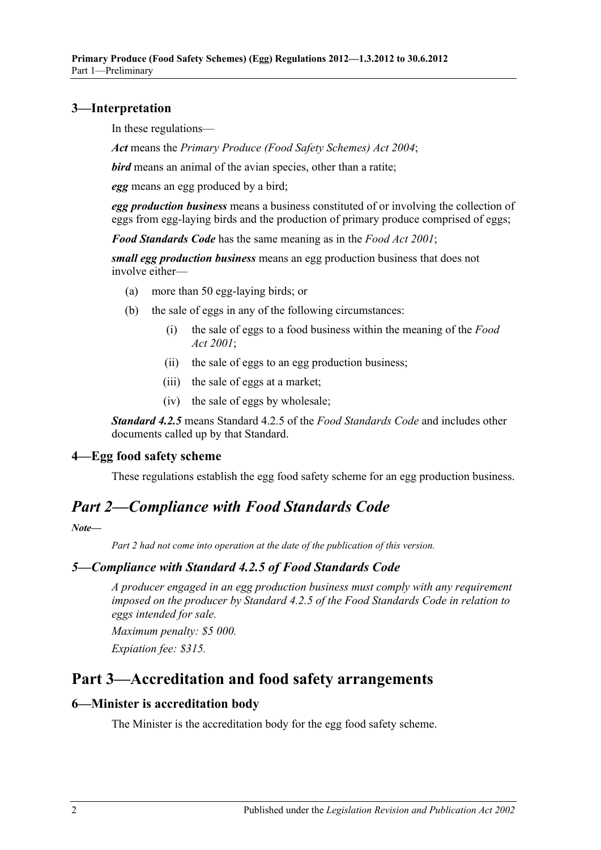#### <span id="page-1-0"></span>**3—Interpretation**

In these regulations—

*Act* means the *[Primary Produce \(Food Safety Schemes\) Act](http://www.legislation.sa.gov.au/index.aspx?action=legref&type=act&legtitle=Primary%20Produce%20(Food%20Safety%20Schemes)%20Act%202004) 2004*;

*bird* means an animal of the avian species, other than a ratite;

*egg* means an egg produced by a bird;

*egg production business* means a business constituted of or involving the collection of eggs from egg-laying birds and the production of primary produce comprised of eggs;

*Food Standards Code* has the same meaning as in the *[Food Act](http://www.legislation.sa.gov.au/index.aspx?action=legref&type=act&legtitle=Food%20Act%202001) 2001*;

*small egg production business* means an egg production business that does not involve either—

- (a) more than 50 egg-laying birds; or
- (b) the sale of eggs in any of the following circumstances:
	- (i) the sale of eggs to a food business within the meaning of the *[Food](http://www.legislation.sa.gov.au/index.aspx?action=legref&type=act&legtitle=Food%20Act%202001)  Act [2001](http://www.legislation.sa.gov.au/index.aspx?action=legref&type=act&legtitle=Food%20Act%202001)*;
	- (ii) the sale of eggs to an egg production business;
	- (iii) the sale of eggs at a market;
	- (iv) the sale of eggs by wholesale;

*Standard 4.2.5* means Standard 4.2.5 of the *Food Standards Code* and includes other documents called up by that Standard.

#### <span id="page-1-1"></span>**4—Egg food safety scheme**

These regulations establish the egg food safety scheme for an egg production business.

## <span id="page-1-2"></span>*Part 2—Compliance with Food Standards Code*

*Note—*

*Part 2 had not come into operation at the date of the publication of this version.*

#### <span id="page-1-3"></span>*5—Compliance with Standard 4.2.5 of Food Standards Code*

*A producer engaged in an egg production business must comply with any requirement imposed on the producer by Standard 4.2.5 of the Food Standards Code in relation to eggs intended for sale.*

*Maximum penalty: \$5 000.*

*Expiation fee: \$315.*

### <span id="page-1-4"></span>**Part 3—Accreditation and food safety arrangements**

#### <span id="page-1-5"></span>**6—Minister is accreditation body**

The Minister is the accreditation body for the egg food safety scheme.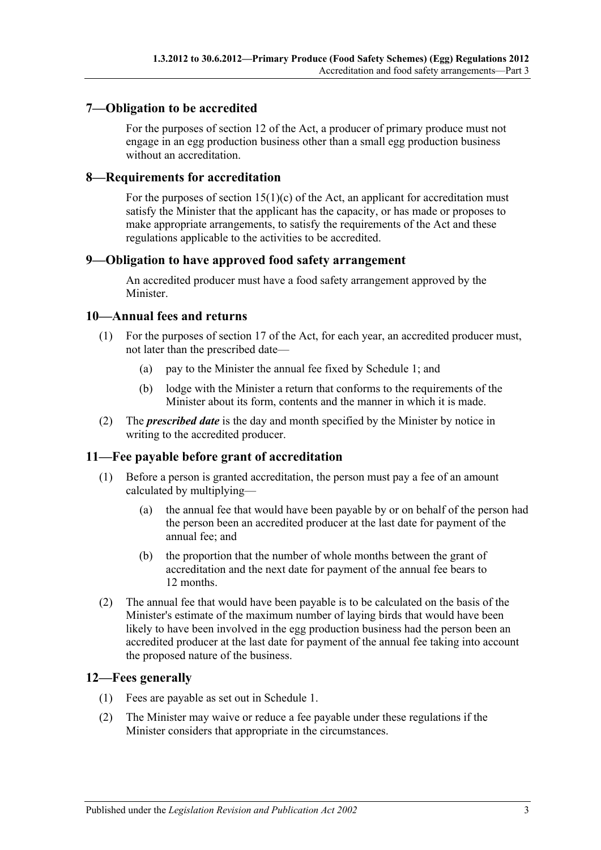#### <span id="page-2-0"></span>**7—Obligation to be accredited**

For the purposes of section 12 of the Act, a producer of primary produce must not engage in an egg production business other than a small egg production business without an accreditation.

#### <span id="page-2-1"></span>**8—Requirements for accreditation**

For the purposes of section  $15(1)(c)$  of the Act, an applicant for accreditation must satisfy the Minister that the applicant has the capacity, or has made or proposes to make appropriate arrangements, to satisfy the requirements of the Act and these regulations applicable to the activities to be accredited.

#### <span id="page-2-2"></span>**9—Obligation to have approved food safety arrangement**

An accredited producer must have a food safety arrangement approved by the Minister.

#### <span id="page-2-3"></span>**10—Annual fees and returns**

- (1) For the purposes of section 17 of the Act, for each year, an accredited producer must, not later than the prescribed date—
	- (a) pay to the Minister the annual fee fixed by [Schedule](#page-3-0) 1; and
	- (b) lodge with the Minister a return that conforms to the requirements of the Minister about its form, contents and the manner in which it is made.
- (2) The *prescribed date* is the day and month specified by the Minister by notice in writing to the accredited producer.

#### <span id="page-2-4"></span>**11—Fee payable before grant of accreditation**

- (1) Before a person is granted accreditation, the person must pay a fee of an amount calculated by multiplying—
	- (a) the annual fee that would have been payable by or on behalf of the person had the person been an accredited producer at the last date for payment of the annual fee; and
	- (b) the proportion that the number of whole months between the grant of accreditation and the next date for payment of the annual fee bears to 12 months.
- (2) The annual fee that would have been payable is to be calculated on the basis of the Minister's estimate of the maximum number of laying birds that would have been likely to have been involved in the egg production business had the person been an accredited producer at the last date for payment of the annual fee taking into account the proposed nature of the business.

#### <span id="page-2-5"></span>**12—Fees generally**

- (1) Fees are payable as set out in [Schedule](#page-3-0) 1.
- (2) The Minister may waive or reduce a fee payable under these regulations if the Minister considers that appropriate in the circumstances.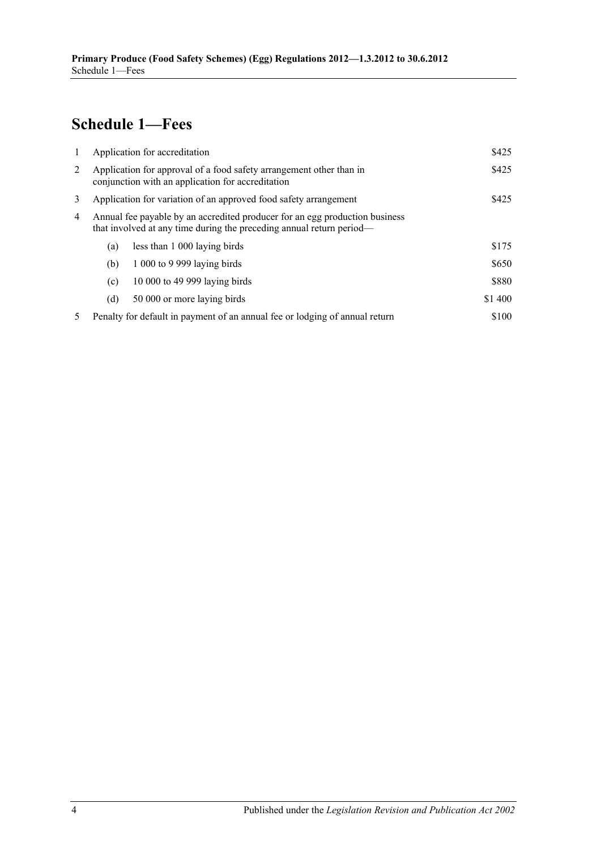# <span id="page-3-0"></span>**Schedule 1—Fees**

| -1 | Application for accreditation                                                                                                                       |                               | \$425   |
|----|-----------------------------------------------------------------------------------------------------------------------------------------------------|-------------------------------|---------|
| 2  | Application for approval of a food safety arrangement other than in<br>conjunction with an application for accreditation                            |                               |         |
| 3  | \$425<br>Application for variation of an approved food safety arrangement                                                                           |                               |         |
| 4  | Annual fee payable by an accredited producer for an egg production business<br>that involved at any time during the preceding annual return period— |                               |         |
|    | (a)                                                                                                                                                 | less than 1 000 laying birds  | \$175   |
|    | (b)                                                                                                                                                 | 1 000 to 9 999 laying birds   | \$650   |
|    | (c)                                                                                                                                                 | 10 000 to 49 999 laying birds | \$880   |
|    | (d)                                                                                                                                                 | 50 000 or more laying birds   | \$1 400 |
| 5  | \$100<br>Penalty for default in payment of an annual fee or lodging of annual return                                                                |                               |         |